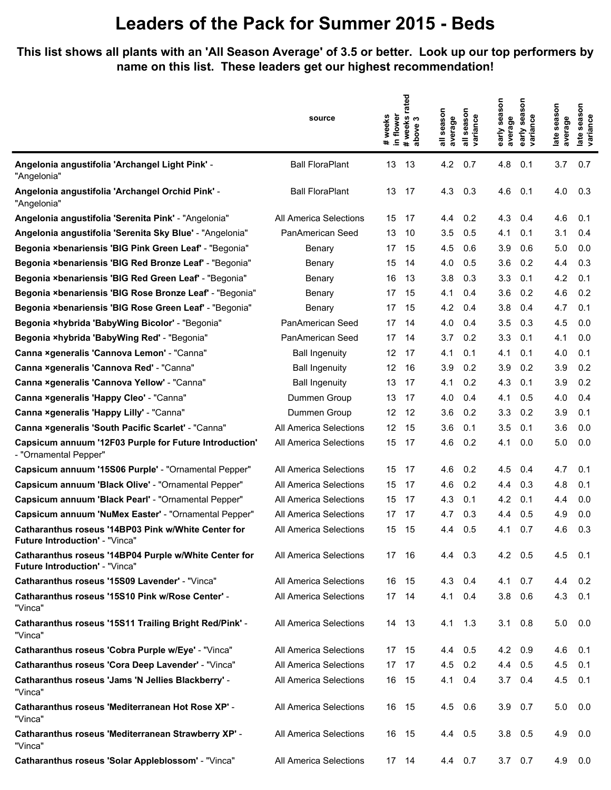**This list shows all plants with an 'All Season Average' of 3.5 or better. Look up our top performers by name on this list. These leaders get our highest recommendation!**

|                                                                                         | source                 | in flower<br>weeks<br>$\ddot{\phantom{a}}$ | rated<br># weeks i<br>above 3 | all season<br>average | season<br>variance<br>$\equiv$ | early season<br>average | son<br>sea<br>early sea:<br>variance | late season<br>average | late season<br>variance |
|-----------------------------------------------------------------------------------------|------------------------|--------------------------------------------|-------------------------------|-----------------------|--------------------------------|-------------------------|--------------------------------------|------------------------|-------------------------|
| Angelonia angustifolia 'Archangel Light Pink' -<br>"Angelonia"                          | <b>Ball FloraPlant</b> | 13                                         | 13                            | 4.2                   | 0.7                            | 4.8                     | 0.1                                  | 3.7                    | 0.7                     |
| Angelonia angustifolia 'Archangel Orchid Pink' -<br>"Angelonia"                         | <b>Ball FloraPlant</b> | 13                                         | 17                            | 4.3                   | 0.3                            | 4.6                     | 0.1                                  | 4.0                    | 0.3                     |
| Angelonia angustifolia 'Serenita Pink' - "Angelonia"                                    | All America Selections | 15                                         | 17                            | 4.4                   | 0.2                            | 4.3                     | 0.4                                  | 4.6                    | 0.1                     |
| Angelonia angustifolia 'Serenita Sky Blue' - "Angelonia"                                | PanAmerican Seed       | 13                                         | 10                            | 3.5                   | 0.5                            | 4.1                     | 0.1                                  | 3.1                    | 0.4                     |
| Begonia ×benariensis 'BIG Pink Green Leaf' - "Begonia"                                  | Benary                 | 17                                         | 15                            | 4.5                   | 0.6                            | 3.9                     | 0.6                                  | 5.0                    | 0.0                     |
| Begonia ×benariensis 'BIG Red Bronze Leaf' - "Begonia"                                  | Benary                 | 15                                         | 14                            | 4.0                   | 0.5                            | 3.6                     | 0.2                                  | 4.4                    | 0.3                     |
| Begonia ×benariensis 'BIG Red Green Leaf' - "Begonia"                                   | Benary                 | 16                                         | 13                            | 3.8                   | 0.3                            | 3.3                     | 0.1                                  | 4.2                    | 0.1                     |
| Begonia ×benariensis 'BIG Rose Bronze Leaf' - "Begonia"                                 | Benary                 | 17                                         | 15                            | 4.1                   | 0.4                            | 3.6                     | 0.2                                  | 4.6                    | 0.2                     |
| Begonia ×benariensis 'BIG Rose Green Leaf' - "Begonia"                                  | Benary                 | 17                                         | 15                            | 4.2                   | 0.4                            | 3.8                     | 0.4                                  | 4.7                    | 0.1                     |
| Begonia ×hybrida 'BabyWing Bicolor' - "Begonia"                                         | PanAmerican Seed       | 17                                         | 14                            | 4.0                   | 0.4                            | 3.5                     | 0.3                                  | 4.5                    | 0.0                     |
| Begonia ×hybrida 'BabyWing Red' - "Begonia"                                             | PanAmerican Seed       | 17                                         | 14                            | 3.7                   | 0.2                            | 3.3                     | 0.1                                  | 4.1                    | 0.0                     |
| Canna xgeneralis 'Cannova Lemon' - "Canna"                                              | <b>Ball Ingenuity</b>  | 12                                         | 17                            | 4.1                   | 0.1                            | 4.1                     | 0.1                                  | 4.0                    | 0.1                     |
| Canna ×generalis 'Cannova Red' - "Canna"                                                | <b>Ball Ingenuity</b>  | 12                                         | 16                            | 3.9                   | 0.2                            | 3.9                     | 0.2                                  | 3.9                    | 0.2                     |
| Canna xgeneralis 'Cannova Yellow' - "Canna"                                             | <b>Ball Ingenuity</b>  | 13                                         | 17                            | 4.1                   | 0.2                            | 4.3                     | 0.1                                  | 3.9                    | 0.2                     |
| Canna ×generalis 'Happy Cleo' - "Canna"                                                 | Dummen Group           | 13                                         | 17                            | 4.0                   | 0.4                            | 4.1                     | 0.5                                  | 4.0                    | 0.4                     |
| Canna xgeneralis 'Happy Lilly' - "Canna"                                                | Dummen Group           | 12                                         | 12                            | 3.6                   | 0.2                            | 3.3                     | 0.2                                  | 3.9                    | 0.1                     |
| Canna ×generalis 'South Pacific Scarlet' - "Canna"                                      | All America Selections | 12                                         | 15                            | 3.6                   | 0.1                            | 3.5                     | 0.1                                  | 3.6                    | 0.0                     |
| Capsicum annuum '12F03 Purple for Future Introduction'<br>- "Ornamental Pepper"         | All America Selections | 15                                         | 17                            | 4.6                   | 0.2                            | 4.1                     | 0.0                                  | 5.0                    | 0.0                     |
| Capsicum annuum '15S06 Purple' - "Ornamental Pepper"                                    | All America Selections | 15                                         | 17                            | 4.6                   | 0.2                            | 4.5                     | 0.4                                  | 4.7                    | 0.1                     |
| Capsicum annuum 'Black Olive' - "Ornamental Pepper"                                     | All America Selections | 15                                         | 17                            | 4.6                   | 0.2                            | 4.4                     | 0.3                                  | 4.8                    | 0.1                     |
| Capsicum annuum 'Black Pearl' - "Ornamental Pepper"                                     | All America Selections | 15                                         | 17                            | 4.3                   | 0.1                            | 4.2                     | 0.1                                  | 4.4                    | 0.0                     |
| Capsicum annuum 'NuMex Easter' - "Ornamental Pepper"                                    | All America Selections | 17                                         | 17                            | 4.7                   | 0.3                            | 4.4                     | 0.5                                  | 4.9                    | 0.0                     |
| Catharanthus roseus '14BP03 Pink w/White Center for<br>Future Introduction' - "Vinca"   | All America Selections | 15                                         | 15                            | 4.4                   | 0.5                            | 4.1                     | 0.7                                  | 4.6                    | 0.3                     |
| Catharanthus roseus '14BP04 Purple w/White Center for<br>Future Introduction' - "Vinca" | All America Selections | 17 16                                      |                               | 4.4 0.3               |                                | 4.2 0.5                 |                                      | 4.5                    | 0.1                     |
| Catharanthus roseus '15S09 Lavender' - "Vinca"                                          | All America Selections | 16                                         | 15                            | 4.3                   | 0.4                            | 4.1                     | 0.7                                  | 4.4                    | 0.2                     |
| Catharanthus roseus '15S10 Pink w/Rose Center' -<br>"Vinca"                             | All America Selections | 17 14                                      |                               | 4.1                   | 0.4                            |                         | $3.8$ 0.6                            | 4.3                    | 0.1                     |
| Catharanthus roseus '15S11 Trailing Bright Red/Pink' -<br>"Vinca"                       | All America Selections |                                            | 14 13                         | 4.1 1.3               |                                |                         | $3.1 \quad 0.8$                      | 5.0                    | 0.0                     |
| Catharanthus roseus 'Cobra Purple w/Eye' - "Vinca"                                      | All America Selections |                                            | 17 15                         | 4.4                   | 0.5                            | 4.2 0.9                 |                                      | 4.6                    | 0.1                     |
| Catharanthus roseus 'Cora Deep Lavender' - "Vinca"                                      | All America Selections | 17                                         | 17                            | 4.5                   | 0.2                            | 4.4                     | 0.5                                  | 4.5                    | 0.1                     |
| Catharanthus roseus 'Jams 'N Jellies Blackberry' -<br>"Vinca"                           | All America Selections | 16                                         | - 15                          | 4.1                   | 0.4                            |                         | $3.7 \quad 0.4$                      | 4.5                    | 0.1                     |
| Catharanthus roseus 'Mediterranean Hot Rose XP' -<br>"Vinca"                            | All America Selections |                                            | 16 15                         | 4.5                   | 0.6                            |                         | $3.9$ 0.7                            | 5.0                    | 0.0                     |
| Catharanthus roseus 'Mediterranean Strawberry XP' -<br>"Vinca"                          | All America Selections | 16 15                                      |                               | 4.4                   | 0.5                            |                         | $3.8$ 0.5                            | 4.9                    | 0.0                     |
| Catharanthus roseus 'Solar Appleblossom' - "Vinca"                                      | All America Selections |                                            | 17 14                         | 4.4 0.7               |                                |                         | $3.7\quad 0.7$                       | 4.9                    | 0.0                     |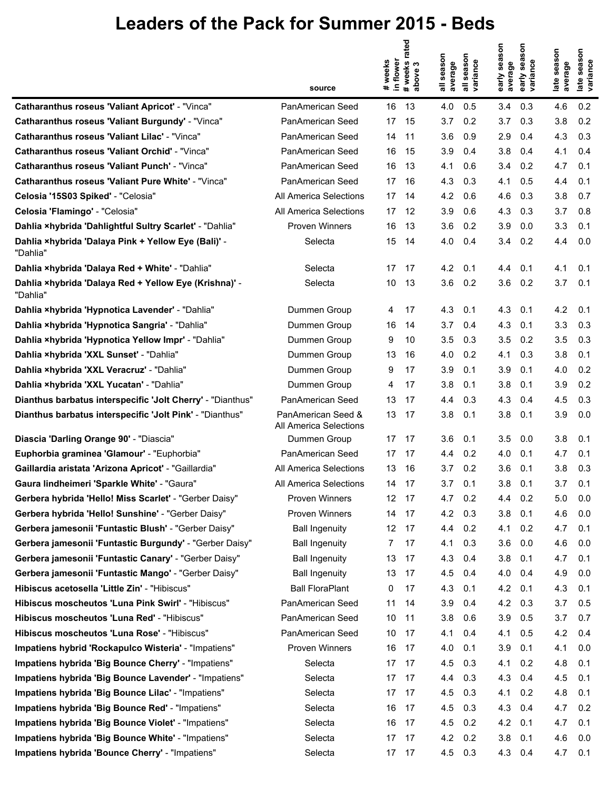|                                                                   | source                                       | rated<br># weeks<br>in flower<br>#weeks<br>S<br>above | season<br>season<br>variance<br>average | season<br>season<br>variance<br>average<br>early<br>early | season<br>e season<br>lance<br>average<br>late<br>late<br>varia |
|-------------------------------------------------------------------|----------------------------------------------|-------------------------------------------------------|-----------------------------------------|-----------------------------------------------------------|-----------------------------------------------------------------|
| <b>Catharanthus roseus 'Valiant Apricot' - "Vinca"</b>            | PanAmerican Seed                             | 16<br>13                                              | 4.0<br>0.5                              | 3.4<br>0.3                                                | 4.6<br>0.2                                                      |
| <b>Catharanthus roseus 'Valiant Burgundy' - "Vinca"</b>           | PanAmerican Seed                             | 17<br>15                                              | 3.7<br>0.2                              | 3.7<br>0.3                                                | 3.8<br>0.2                                                      |
| <b>Catharanthus roseus 'Valiant Lilac' - "Vinca"</b>              | PanAmerican Seed                             | 14<br>11                                              | 3.6<br>0.9                              | 2.9<br>0.4                                                | 0.3<br>4.3                                                      |
| Catharanthus roseus 'Valiant Orchid' - "Vinca"                    | PanAmerican Seed                             | 16<br>15                                              | 3.9<br>0.4                              | 3.8<br>0.4                                                | 4.1<br>0.4                                                      |
| <b>Catharanthus roseus 'Valiant Punch' - "Vinca"</b>              | PanAmerican Seed                             | 16<br>13                                              | 4.1<br>0.6                              | 0.2<br>3.4                                                | 0.1<br>4.7                                                      |
| Catharanthus roseus 'Valiant Pure White' - "Vinca"                | PanAmerican Seed                             | 17<br>16                                              | 4.3<br>0.3                              | 4.1<br>0.5                                                | 4.4<br>0.1                                                      |
| Celosia '15S03 Spiked' - "Celosia"                                | All America Selections                       | 17<br>14                                              | 4.2<br>0.6                              | 4.6<br>0.3                                                | 3.8<br>0.7                                                      |
| Celosia 'Flamingo' - "Celosia"                                    | All America Selections                       | 17<br>12                                              | 3.9<br>0.6                              | 4.3<br>0.3                                                | 3.7<br>0.8                                                      |
| Dahlia ×hybrida 'Dahlightful Sultry Scarlet' - "Dahlia"           | <b>Proven Winners</b>                        | 16<br>13                                              | 3.6<br>0.2                              | 3.9<br>0.0                                                | 3.3<br>0.1                                                      |
| Dahlia ×hybrida 'Dalaya Pink + Yellow Eye (Bali)' -<br>"Dahlia"   | Selecta                                      | 15<br>14                                              | 4.0<br>0.4                              | 3.4<br>0.2                                                | 4.4<br>0.0                                                      |
| Dahlia xhybrida 'Dalaya Red + White' - "Dahlia"                   | Selecta                                      | 17<br>17                                              | 4.2<br>0.1                              | 0.1<br>4.4                                                | 4.1<br>0.1                                                      |
| Dahlia ×hybrida 'Dalaya Red + Yellow Eye (Krishna)' -<br>"Dahlia" | Selecta                                      | 10<br>13                                              | 3.6<br>0.2                              | 3.6<br>0.2                                                | 3.7<br>0.1                                                      |
| Dahlia ×hybrida 'Hypnotica Lavender' - "Dahlia"                   | Dummen Group                                 | 17<br>4                                               | 4.3<br>0.1                              | 4.3<br>0.1                                                | 4.2<br>0.1                                                      |
| Dahlia ×hybrida 'Hypnotica Sangria' - "Dahlia"                    | Dummen Group                                 | 16<br>14                                              | 3.7<br>0.4                              | 4.3<br>0.1                                                | 3.3<br>0.3                                                      |
| Dahlia ×hybrida 'Hypnotica Yellow Impr' - "Dahlia"                | Dummen Group                                 | 9<br>10                                               | 3.5<br>0.3                              | 3.5<br>0.2                                                | 3.5<br>0.3                                                      |
| Dahlia ×hybrida 'XXL Sunset' - "Dahlia"                           | Dummen Group                                 | 13<br>16                                              | 4.0<br>0.2                              | 4.1<br>0.3                                                | 3.8<br>0.1                                                      |
| Dahlia ×hybrida 'XXL Veracruz' - "Dahlia"                         | Dummen Group                                 | 9<br>17                                               | 3.9<br>0.1                              | 3.9<br>0.1                                                | 4.0<br>0.2                                                      |
| Dahlia xhybrida 'XXL Yucatan' - "Dahlia"                          | Dummen Group                                 | 4<br>17                                               | 3.8<br>0.1                              | 3.8<br>0.1                                                | 0.2<br>3.9                                                      |
| Dianthus barbatus interspecific 'Jolt Cherry' - "Dianthus"        | PanAmerican Seed                             | 13<br>17                                              | 0.3<br>4.4                              | 4.3<br>0.4                                                | 0.3<br>4.5                                                      |
| Dianthus barbatus interspecific 'Jolt Pink' - "Dianthus"          | PanAmerican Seed &<br>All America Selections | 13<br>17                                              | 3.8<br>0.1                              | 3.8<br>0.1                                                | 3.9<br>0.0                                                      |
| Diascia 'Darling Orange 90' - "Diascia"                           | Dummen Group                                 | 17<br>17                                              | 3.6<br>0.1                              | 3.5<br>0.0                                                | 3.8<br>0.1                                                      |
| Euphorbia graminea 'Glamour' - "Euphorbia"                        | PanAmerican Seed                             | 17<br>17                                              | 4.4<br>0.2                              | 0.1<br>4.0                                                | 4.7<br>0.1                                                      |
| Gaillardia aristata 'Arizona Apricot' - "Gaillardia"              | All America Selections                       | 13<br>16                                              | 3.7<br>0.2                              | 3.6<br>0.1                                                | 3.8<br>0.3                                                      |
| Gaura lindheimeri 'Sparkle White' - "Gaura"                       | All America Selections                       | 14<br>17                                              | 3.7<br>0.1                              | 3.8<br>0.1                                                | 3.7<br>0.1                                                      |
| Gerbera hybrida 'Hello! Miss Scarlet' - "Gerber Daisy"            | Proven Winners                               | 12 17                                                 | 4.7<br>0.2                              | 4.4 0.2                                                   | 5.0<br>0.0                                                      |
| Gerbera hybrida 'Hello! Sunshine' - "Gerber Daisy"                | <b>Proven Winners</b>                        | 14<br>17                                              | 4.2<br>0.3                              | 3.8<br>0.1                                                | 4.6<br>0.0                                                      |
| Gerbera jamesonii 'Funtastic Blush' - "Gerber Daisy"              | <b>Ball Ingenuity</b>                        | 12<br>17                                              | 0.2<br>4.4                              | 4.1<br>0.2                                                | 4.7<br>0.1                                                      |
| Gerbera jamesonii 'Funtastic Burgundy' - "Gerber Daisy"           | <b>Ball Ingenuity</b>                        | 17<br>7                                               | 4.1<br>0.3                              | 3.6<br>0.0                                                | 4.6<br>0.0                                                      |
| Gerbera jamesonii 'Funtastic Canary' - "Gerber Daisy"             | <b>Ball Ingenuity</b>                        | 13<br>17                                              | 4.3<br>0.4                              | 3.8<br>0.1                                                | 0.1<br>4.7                                                      |
| Gerbera jamesonii 'Funtastic Mango' - "Gerber Daisy"              | <b>Ball Ingenuity</b>                        | 13<br>17                                              | 4.5<br>0.4                              | 4.0<br>0.4                                                | 4.9<br>0.0                                                      |
| Hibiscus acetosella 'Little Zin' - "Hibiscus"                     | <b>Ball FloraPlant</b>                       | 17<br>0                                               | 4.3<br>0.1                              | 4.2<br>0.1                                                | 4.3<br>0.1                                                      |
| Hibiscus moscheutos 'Luna Pink Swirl' - "Hibiscus"                | PanAmerican Seed                             | 11<br>14                                              | 3.9<br>0.4                              | 4.2<br>0.3                                                | 0.5<br>3.7                                                      |
| Hibiscus moscheutos 'Luna Red' - "Hibiscus"                       | PanAmerican Seed                             | 10<br>11                                              | 3.8<br>0.6                              | 3.9<br>0.5                                                | 3.7<br>0.7                                                      |
| Hibiscus moscheutos 'Luna Rose' - "Hibiscus"                      | PanAmerican Seed                             | 10<br>17                                              | 4.1<br>0.4                              | 4.1<br>0.5                                                | 4.2<br>0.4                                                      |
| Impatiens hybrid 'Rockapulco Wisteria' - "Impatiens"              | Proven Winners                               | 16<br>17                                              | 4.0<br>0.1                              | 3.9<br>0.1                                                | 4.1<br>0.0                                                      |
| Impatiens hybrida 'Big Bounce Cherry' - "Impatiens"               | Selecta                                      | 17<br>17                                              | 4.5<br>0.3                              | 0.2<br>4.1                                                | 4.8<br>0.1                                                      |
| Impatiens hybrida 'Big Bounce Lavender' - "Impatiens"             | Selecta                                      | 17<br>17                                              | 0.3<br>4.4                              | 4.3<br>0.4                                                | 4.5<br>0.1                                                      |
| Impatiens hybrida 'Big Bounce Lilac' - "Impatiens"                | Selecta                                      | 17<br>17                                              | 4.5<br>0.3                              | 4.1<br>0.2                                                | 4.8<br>0.1                                                      |
| Impatiens hybrida 'Big Bounce Red' - "Impatiens"                  | Selecta                                      | 16<br>17                                              | 4.5<br>0.3                              | 4.3<br>0.4                                                | 4.7<br>0.2                                                      |
| Impatiens hybrida 'Big Bounce Violet' - "Impatiens"               | Selecta                                      | 16<br>17                                              | 4.5<br>0.2                              | 4.2<br>0.1                                                | 4.7<br>0.1                                                      |
| Impatiens hybrida 'Big Bounce White' - "Impatiens"                | Selecta                                      | 17<br>17                                              | 4.2<br>0.2                              | 3.8<br>0.1                                                | 4.6<br>0.0                                                      |
| Impatiens hybrida 'Bounce Cherry' - "Impatiens"                   | Selecta                                      | 17<br>17                                              | 4.5<br>0.3                              | 4.3<br>0.4                                                | 0.1<br>4.7                                                      |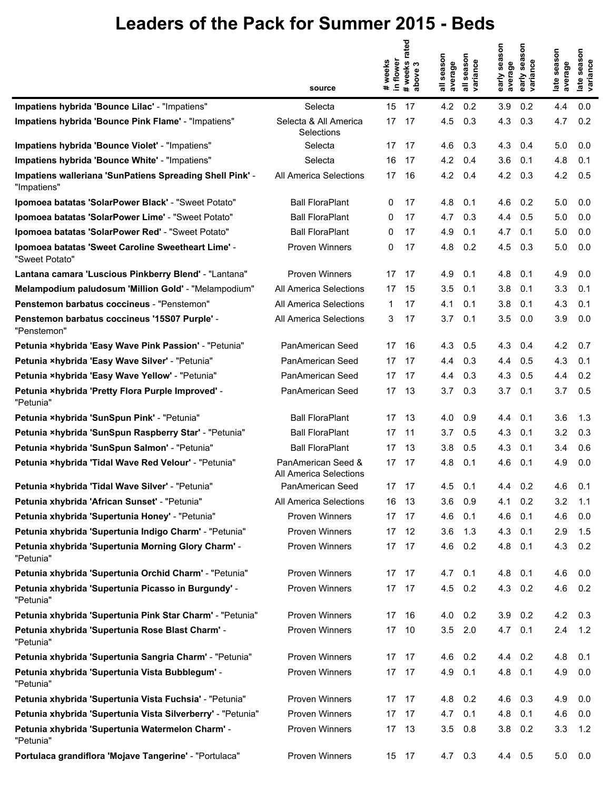|                                                                         | source                                       | # weeks<br>in flower | rated<br>#weeks<br>S<br>above | season<br>average | season<br>variance<br>$\overline{\overline{a}}$ | season<br>average<br>early | season<br>variance<br>early | season<br>average<br>late | season<br>iance<br>late<br>varia |
|-------------------------------------------------------------------------|----------------------------------------------|----------------------|-------------------------------|-------------------|-------------------------------------------------|----------------------------|-----------------------------|---------------------------|----------------------------------|
| Impatiens hybrida 'Bounce Lilac' - "Impatiens"                          | Selecta                                      | 15                   | 17                            | 4.2               | 0.2                                             | 3.9                        | 0.2                         | 4.4                       | 0.0                              |
| Impatiens hybrida 'Bounce Pink Flame' - "Impatiens"                     | Selecta & All America<br>Selections          | 17                   | 17                            | 4.5               | 0.3                                             | 4.3                        | 0.3                         | 4.7                       | 0.2                              |
| Impatiens hybrida 'Bounce Violet' - "Impatiens"                         | Selecta                                      | 17                   | -17                           | 4.6               | 0.3                                             | 4.3                        | 0.4                         | 5.0                       | 0.0                              |
| Impatiens hybrida 'Bounce White' - "Impatiens"                          | Selecta                                      | 16                   | 17                            | 4.2               | 0.4                                             | 3.6                        | 0.1                         | 4.8                       | 0.1                              |
| Impatiens walleriana 'SunPatiens Spreading Shell Pink' -<br>"Impatiens" | All America Selections                       | 17                   | 16                            | 4.2               | 0.4                                             | 4.2                        | 0.3                         | 4.2                       | 0.5                              |
| Ipomoea batatas 'SolarPower Black' - "Sweet Potato"                     | <b>Ball FloraPlant</b>                       | 0                    | 17                            | 4.8               | 0.1                                             | 4.6                        | 0.2                         | 5.0                       | 0.0                              |
| Ipomoea batatas 'SolarPower Lime' - "Sweet Potato"                      | <b>Ball FloraPlant</b>                       | 0                    | 17                            | 4.7               | 0.3                                             | 4.4                        | 0.5                         | 5.0                       | 0.0                              |
| Ipomoea batatas 'SolarPower Red' - "Sweet Potato"                       | <b>Ball FloraPlant</b>                       | 0                    | 17                            | 4.9               | 0.1                                             | 4.7                        | 0.1                         | 5.0                       | 0.0                              |
| Ipomoea batatas 'Sweet Caroline Sweetheart Lime' -<br>"Sweet Potato"    | Proven Winners                               | 0                    | 17                            | 4.8               | 0.2                                             | 4.5                        | 0.3                         | 5.0                       | 0.0                              |
| Lantana camara 'Luscious Pinkberry Blend' - "Lantana"                   | <b>Proven Winners</b>                        | 17                   | 17                            | 4.9               | 0.1                                             | 4.8                        | 0.1                         | 4.9                       | 0.0                              |
| Melampodium paludosum 'Million Gold' - "Melampodium"                    | All America Selections                       | 17                   | 15                            | 3.5               | 0.1                                             | 3.8                        | 0.1                         | 3.3                       | 0.1                              |
| Penstemon barbatus coccineus - "Penstemon"                              | All America Selections                       | 1                    | 17                            | 4.1               | 0.1                                             | 3.8                        | 0.1                         | 4.3                       | 0.1                              |
| Penstemon barbatus coccineus '15S07 Purple' -<br>"Penstemon"            | All America Selections                       | 3                    | 17                            | 3.7               | 0.1                                             | 3.5                        | 0.0                         | 3.9                       | 0.0                              |
| Petunia ×hybrida 'Easy Wave Pink Passion' - "Petunia"                   | PanAmerican Seed                             | 17                   | 16                            | 4.3               | 0.5                                             | 4.3                        | 0.4                         | 4.2                       | 0.7                              |
| Petunia ×hybrida 'Easy Wave Silver' - "Petunia"                         | PanAmerican Seed                             | 17                   | 17                            | 4.4               | 0.3                                             | 4.4                        | 0.5                         | 4.3                       | 0.1                              |
| Petunia ×hybrida 'Easy Wave Yellow' - "Petunia"                         | PanAmerican Seed                             | 17                   | 17                            | 4.4               | 0.3                                             | 4.3                        | 0.5                         | 4.4                       | 0.2                              |
| Petunia ×hybrida 'Pretty Flora Purple Improved' -<br>"Petunia"          | PanAmerican Seed                             | 17                   | 13                            | 3.7               | 0.3                                             | 3.7                        | 0.1                         | 3.7                       | 0.5                              |
| Petunia ×hybrida 'SunSpun Pink' - "Petunia"                             | <b>Ball FloraPlant</b>                       | 17                   | 13                            | 4.0               | 0.9                                             | 4.4                        | 0.1                         | 3.6                       | 1.3                              |
| Petunia ×hybrida 'SunSpun Raspberry Star' - "Petunia"                   | <b>Ball FloraPlant</b>                       | 17                   | 11                            | 3.7               | 0.5                                             | 4.3                        | 0.1                         | 3.2                       | 0.3                              |
| Petunia ×hybrida 'SunSpun Salmon' - "Petunia"                           | <b>Ball FloraPlant</b>                       | 17                   | 13                            | 3.8               | 0.5                                             | 4.3                        | 0.1                         | 3.4                       | 0.6                              |
| Petunia ×hybrida 'Tidal Wave Red Velour' - "Petunia"                    | PanAmerican Seed &<br>All America Selections | 17                   | 17                            | 4.8               | 0.1                                             | 4.6                        | 0.1                         | 4.9                       | 0.0                              |
| Petunia ×hybrida 'Tidal Wave Silver' - "Petunia"                        | PanAmerican Seed                             | 17                   | 17                            | 4.5               | 0.1                                             | 4.4                        | 0.2                         | 4.6                       | 0.1                              |
| Petunia xhybrida 'African Sunset' - "Petunia"                           | All America Selections                       | 16                   | -13                           | 3.6               | 0.9                                             | 4.1                        | 0.2                         | 3.2                       | 1.1                              |
| Petunia xhybrida 'Supertunia Honey' - "Petunia"                         | Proven Winners                               | 17                   | 17                            | 4.6               | 0.1                                             | 4.6                        | 0.1                         | 4.6                       | 0.0                              |
| Petunia xhybrida 'Supertunia Indigo Charm' - "Petunia"                  | <b>Proven Winners</b>                        | 17                   | -12                           | 3.6               | 1.3                                             | 4.3                        | 0.1                         | 2.9                       | 1.5                              |
| Petunia xhybrida 'Supertunia Morning Glory Charm' -<br>"Petunia"        | Proven Winners                               | 17                   | 17                            | 4.6               | 0.2                                             | 4.8                        | 0.1                         | 4.3                       | 0.2                              |
| Petunia xhybrida 'Supertunia Orchid Charm' - "Petunia"                  | Proven Winners                               | 17                   | 17                            | 4.7               | 0.1                                             | 4.8                        | 0.1                         | 4.6                       | 0.0                              |
| Petunia xhybrida 'Supertunia Picasso in Burgundy' -<br>"Petunia"        | Proven Winners                               | 17                   | 17                            | 4.5               | 0.2                                             | 4.3                        | 0.2                         | 4.6                       | 0.2                              |
| Petunia xhybrida 'Supertunia Pink Star Charm' - "Petunia"               | <b>Proven Winners</b>                        | 17                   | 16                            | 4.0               | 0.2                                             | 3.9                        | 0.2                         | 4.2                       | 0.3                              |
| Petunia xhybrida 'Supertunia Rose Blast Charm' -<br>"Petunia"           | Proven Winners                               | 17                   | 10                            |                   | $3.5$ 2.0                                       | 4.7 0.1                    |                             | 2.4                       | 1.2                              |
| Petunia xhybrida 'Supertunia Sangria Charm' - "Petunia"                 | Proven Winners                               | 17                   | 17                            | 4.6               | 0.2                                             | 4.4                        | 0.2                         | 4.8                       | 0.1                              |
| Petunia xhybrida 'Supertunia Vista Bubblegum' -<br>"Petunia"            | Proven Winners                               | 17                   | 17                            | 4.9               | 0.1                                             | 4.8                        | 0.1                         | 4.9                       | 0.0                              |
| Petunia xhybrida 'Supertunia Vista Fuchsia' - "Petunia"                 | <b>Proven Winners</b>                        | 17                   | 17                            | 4.8               | 0.2                                             | 4.6                        | 0.3                         | 4.9                       | 0.0                              |
| Petunia xhybrida 'Supertunia Vista Silverberry' - "Petunia"             | Proven Winners                               | 17                   | 17                            | 4.7               | 0.1                                             | 4.8                        | 0.1                         | 4.6                       | 0.0                              |
| Petunia xhybrida 'Supertunia Watermelon Charm' -<br>"Petunia"           | Proven Winners                               | 17                   | 13                            | 3.5               | 0.8                                             | 3.8                        | 0.2                         | 3.3                       | 1.2                              |
| Portulaca grandiflora 'Mojave Tangerine' - "Portulaca"                  | Proven Winners                               |                      | 15 17                         | 4.7               | 0.3                                             |                            | 4.4 0.5                     | 5.0                       | 0.0                              |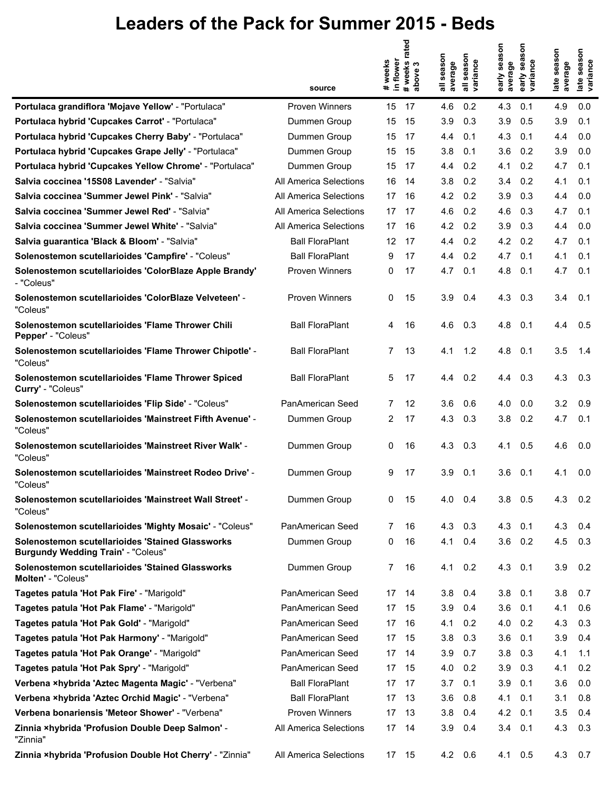|                                                                                               | source                 | # weeks rated<br>above 3<br>in flower<br># weeks<br>above | season<br>season<br>variance<br>average<br>$\bar{a}$<br>$\overline{\overline{a}}$ | early season<br>Son<br>early sea<br>variance<br>average | season<br>season<br>iance<br>average<br>late<br>late<br>हाँ |
|-----------------------------------------------------------------------------------------------|------------------------|-----------------------------------------------------------|-----------------------------------------------------------------------------------|---------------------------------------------------------|-------------------------------------------------------------|
| Portulaca grandiflora 'Mojave Yellow' - "Portulaca"                                           | Proven Winners         | 15<br>17                                                  | 4.6<br>0.2                                                                        | 4.3<br>0.1                                              | 4.9<br>0.0                                                  |
| Portulaca hybrid 'Cupcakes Carrot' - "Portulaca"                                              | Dummen Group           | 15<br>15                                                  | 3.9<br>0.3                                                                        | 3.9<br>0.5                                              | 3.9<br>0.1                                                  |
| Portulaca hybrid 'Cupcakes Cherry Baby' - "Portulaca"                                         | Dummen Group           | 15<br>17                                                  | 4.4<br>0.1                                                                        | 4.3<br>0.1                                              | 4.4<br>0.0                                                  |
| Portulaca hybrid 'Cupcakes Grape Jelly' - "Portulaca"                                         | Dummen Group           | 15<br>15                                                  | 3.8<br>0.1                                                                        | 3.6<br>0.2                                              | 3.9<br>0.0                                                  |
| Portulaca hybrid 'Cupcakes Yellow Chrome' - "Portulaca"                                       | Dummen Group           | 15<br>17                                                  | 0.2<br>4.4                                                                        | 0.2<br>4.1                                              | 4.7<br>0.1                                                  |
| Salvia coccinea '15S08 Lavender' - "Salvia"                                                   | All America Selections | 16<br>14                                                  | 3.8<br>0.2                                                                        | 0.2<br>3.4                                              | 4.1<br>0.1                                                  |
| Salvia coccinea 'Summer Jewel Pink' - "Salvia"                                                | All America Selections | 17<br>16                                                  | 4.2<br>0.2                                                                        | 3.9<br>0.3                                              | 0.0<br>4.4                                                  |
| Salvia coccinea 'Summer Jewel Red' - "Salvia"                                                 | All America Selections | 17<br>17                                                  | 4.6<br>0.2                                                                        | 4.6<br>0.3                                              | 4.7<br>0.1                                                  |
| Salvia coccinea 'Summer Jewel White' - "Salvia"                                               | All America Selections | 17<br>16                                                  | 4.2<br>0.2                                                                        | 3.9<br>0.3                                              | 4.4<br>0.0                                                  |
| Salvia guarantica 'Black & Bloom' - "Salvia"                                                  | <b>Ball FloraPlant</b> | 12<br>17                                                  | 0.2<br>4.4                                                                        | 4.2<br>0.2                                              | 4.7<br>0.1                                                  |
| Solenostemon scutellarioides 'Campfire' - "Coleus"                                            | <b>Ball FloraPlant</b> | 17<br>9                                                   | 0.2<br>4.4                                                                        | 4.7<br>0.1                                              | 4.1<br>0.1                                                  |
| Solenostemon scutellarioides 'ColorBlaze Apple Brandy'<br>- "Coleus"                          | Proven Winners         | 0<br>17                                                   | 4.7<br>0.1                                                                        | 4.8<br>0.1                                              | 4.7<br>0.1                                                  |
| Solenostemon scutellarioides 'ColorBlaze Velveteen' -<br>"Coleus"                             | Proven Winners         | 0<br>15                                                   | 3.9<br>0.4                                                                        | 4.3<br>0.3                                              | 3.4<br>0.1                                                  |
| Solenostemon scutellarioides 'Flame Thrower Chili<br>Pepper' - "Coleus"                       | <b>Ball FloraPlant</b> | 4<br>16                                                   | 4.6<br>0.3                                                                        | 4.8<br>0.1                                              | 4.4<br>0.5                                                  |
| Solenostemon scutellarioides 'Flame Thrower Chipotle' -<br>"Coleus"                           | <b>Ball FloraPlant</b> | 7<br>13                                                   | 1.2<br>4.1                                                                        | 4.8<br>0.1                                              | 3.5<br>1.4                                                  |
| Solenostemon scutellarioides 'Flame Thrower Spiced<br>Curry' - "Coleus"                       | <b>Ball FloraPlant</b> | 5<br>17                                                   | 0.2<br>4.4                                                                        | 4.4<br>0.3                                              | 4.3<br>0.3                                                  |
| Solenostemon scutellarioides 'Flip Side' - "Coleus"                                           | PanAmerican Seed       | 12<br>$\overline{7}$                                      | 3.6<br>0.6                                                                        | 4.0<br>0.0                                              | 3.2<br>0.9                                                  |
| Solenostemon scutellarioides 'Mainstreet Fifth Avenue' -<br>"Coleus"                          | Dummen Group           | 2<br>17                                                   | 4.3<br>0.3                                                                        | 3.8<br>0.2                                              | 4.7<br>0.1                                                  |
| Solenostemon scutellarioides 'Mainstreet River Walk' -<br>"Coleus"                            | Dummen Group           | 0<br>16                                                   | 4.3<br>0.3                                                                        | 4.1<br>0.5                                              | 4.6<br>0.0                                                  |
| Solenostemon scutellarioides 'Mainstreet Rodeo Drive' -<br>"Coleus"                           | Dummen Group           | 9<br>17                                                   | 3.9<br>0.1                                                                        | 3.6<br>0.1                                              | 4.1<br>0.0                                                  |
| Solenostemon scutellarioides 'Mainstreet Wall Street' -<br>"Coleus"                           | Dummen Group           | 0<br>15                                                   | 4.0<br>0.4                                                                        | 3.8<br>0.5                                              | 4.3<br>0.2                                                  |
| Solenostemon scutellarioides 'Mighty Mosaic' - "Coleus"                                       | PanAmerican Seed       | 16<br>7                                                   | 4.3<br>0.3                                                                        | 4.3<br>0.1                                              | 4.3<br>0.4                                                  |
| Solenostemon scutellarioides 'Stained Glassworks<br><b>Burgundy Wedding Train' - "Coleus"</b> | Dummen Group           | 0<br>16                                                   | 4.1<br>0.4                                                                        | 3.6<br>0.2                                              | 4.5<br>0.3                                                  |
| Solenostemon scutellarioides 'Stained Glassworks<br>Molten' - "Coleus"                        | Dummen Group           | $\overline{7}$<br>16                                      | 4.1<br>0.2                                                                        | 4.3<br>0.1                                              | 3.9<br>0.2                                                  |
| Tagetes patula 'Hot Pak Fire' - "Marigold"                                                    | PanAmerican Seed       | 17<br>14                                                  | 3.8<br>0.4                                                                        | 3.8<br>0.1                                              | 3.8<br>0.7                                                  |
| Tagetes patula 'Hot Pak Flame' - "Marigold"                                                   | PanAmerican Seed       | 17<br>15                                                  | 3.9<br>0.4                                                                        | 3.6<br>0.1                                              | 0.6<br>4.1                                                  |
| Tagetes patula 'Hot Pak Gold' - "Marigold"                                                    | PanAmerican Seed       | 17<br>16                                                  | 4.1<br>0.2                                                                        | 4.0<br>0.2                                              | 4.3<br>0.3                                                  |
| Tagetes patula 'Hot Pak Harmony' - "Marigold"                                                 | PanAmerican Seed       | 15<br>17                                                  | 3.8<br>0.3                                                                        | 3.6<br>0.1                                              | 3.9<br>0.4                                                  |
| Tagetes patula 'Hot Pak Orange' - "Marigold"                                                  | PanAmerican Seed       | 17<br>14                                                  | 3.9<br>0.7                                                                        | 3.8<br>0.3                                              | 4.1<br>1.1                                                  |
| Tagetes patula 'Hot Pak Spry' - "Marigold"                                                    | PanAmerican Seed       | 17<br>15                                                  | 4.0<br>0.2                                                                        | 3.9<br>0.3                                              | 0.2<br>4.1                                                  |
| Verbena ×hybrida 'Aztec Magenta Magic' - "Verbena"                                            | <b>Ball FloraPlant</b> | 17<br>-17                                                 | 3.7<br>0.1                                                                        | 3.9<br>0.1                                              | 3.6<br>0.0                                                  |
| Verbena ×hybrida 'Aztec Orchid Magic' - "Verbena"                                             | <b>Ball FloraPlant</b> | 17<br>13                                                  | 3.6<br>0.8                                                                        | 4.1<br>0.1                                              | 0.8<br>3.1                                                  |
| Verbena bonariensis 'Meteor Shower' - "Verbena"                                               | Proven Winners         | 17<br>13                                                  | 3.8<br>0.4                                                                        | 4.2<br>0.1                                              | 3.5<br>0.4                                                  |
| Zinnia ×hybrida 'Profusion Double Deep Salmon' -<br>"Zinnia"                                  | All America Selections | 17<br>14                                                  | 3.9<br>0.4                                                                        | 3.4<br>0.1                                              | 4.3<br>0.3                                                  |
| Zinnia ×hybrida 'Profusion Double Hot Cherry' - "Zinnia"                                      | All America Selections | 17 15                                                     | 4.2<br>0.6                                                                        | 4.1 0.5                                                 | 4.3<br>0.7                                                  |